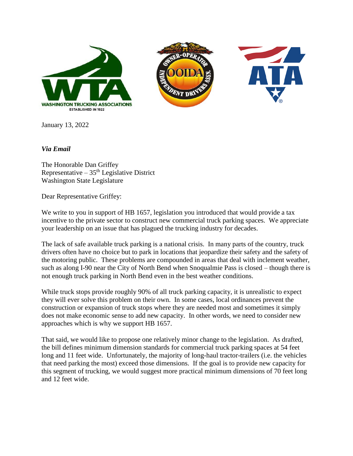





January 13, 2022

*Via Email*

The Honorable Dan Griffey Representative –  $35<sup>th</sup>$  Legislative District Washington State Legislature

Dear Representative Griffey:

We write to you in support of HB 1657, legislation you introduced that would provide a tax incentive to the private sector to construct new commercial truck parking spaces. We appreciate your leadership on an issue that has plagued the trucking industry for decades.

The lack of safe available truck parking is a national crisis. In many parts of the country, truck drivers often have no choice but to park in locations that jeopardize their safety and the safety of the motoring public. These problems are compounded in areas that deal with inclement weather, such as along I-90 near the City of North Bend when Snoqualmie Pass is closed – though there is not enough truck parking in North Bend even in the best weather conditions.

While truck stops provide roughly 90% of all truck parking capacity, it is unrealistic to expect they will ever solve this problem on their own. In some cases, local ordinances prevent the construction or expansion of truck stops where they are needed most and sometimes it simply does not make economic sense to add new capacity. In other words, we need to consider new approaches which is why we support HB 1657.

That said, we would like to propose one relatively minor change to the legislation. As drafted, the bill defines minimum dimension standards for commercial truck parking spaces at 54 feet long and 11 feet wide. Unfortunately, the majority of long-haul tractor-trailers (i.e. the vehicles that need parking the most) exceed those dimensions. If the goal is to provide new capacity for this segment of trucking, we would suggest more practical minimum dimensions of 70 feet long and 12 feet wide.